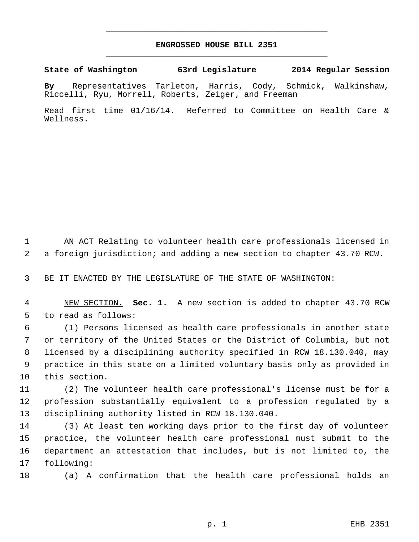## **ENGROSSED HOUSE BILL 2351** \_\_\_\_\_\_\_\_\_\_\_\_\_\_\_\_\_\_\_\_\_\_\_\_\_\_\_\_\_\_\_\_\_\_\_\_\_\_\_\_\_\_\_\_\_

\_\_\_\_\_\_\_\_\_\_\_\_\_\_\_\_\_\_\_\_\_\_\_\_\_\_\_\_\_\_\_\_\_\_\_\_\_\_\_\_\_\_\_\_\_

**State of Washington 63rd Legislature 2014 Regular Session**

**By** Representatives Tarleton, Harris, Cody, Schmick, Walkinshaw, Riccelli, Ryu, Morrell, Roberts, Zeiger, and Freeman

Read first time 01/16/14. Referred to Committee on Health Care & Wellness.

 AN ACT Relating to volunteer health care professionals licensed in a foreign jurisdiction; and adding a new section to chapter 43.70 RCW.

BE IT ENACTED BY THE LEGISLATURE OF THE STATE OF WASHINGTON:

 NEW SECTION. **Sec. 1.** A new section is added to chapter 43.70 RCW to read as follows:

 (1) Persons licensed as health care professionals in another state or territory of the United States or the District of Columbia, but not licensed by a disciplining authority specified in RCW 18.130.040, may practice in this state on a limited voluntary basis only as provided in this section.

 (2) The volunteer health care professional's license must be for a profession substantially equivalent to a profession regulated by a disciplining authority listed in RCW 18.130.040.

 (3) At least ten working days prior to the first day of volunteer practice, the volunteer health care professional must submit to the department an attestation that includes, but is not limited to, the following:

(a) A confirmation that the health care professional holds an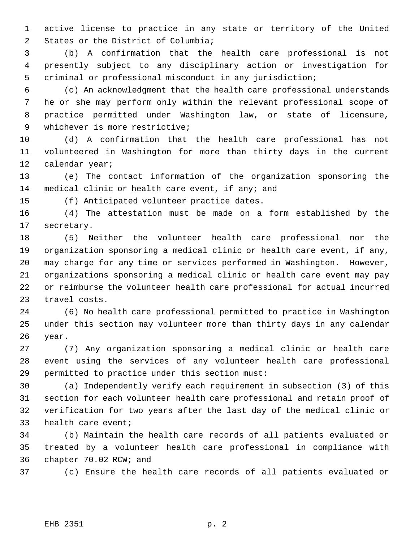active license to practice in any state or territory of the United States or the District of Columbia;

 (b) A confirmation that the health care professional is not presently subject to any disciplinary action or investigation for criminal or professional misconduct in any jurisdiction;

 (c) An acknowledgment that the health care professional understands he or she may perform only within the relevant professional scope of practice permitted under Washington law, or state of licensure, whichever is more restrictive;

 (d) A confirmation that the health care professional has not volunteered in Washington for more than thirty days in the current calendar year;

 (e) The contact information of the organization sponsoring the medical clinic or health care event, if any; and

(f) Anticipated volunteer practice dates.

 (4) The attestation must be made on a form established by the secretary.

 (5) Neither the volunteer health care professional nor the organization sponsoring a medical clinic or health care event, if any, may charge for any time or services performed in Washington. However, organizations sponsoring a medical clinic or health care event may pay or reimburse the volunteer health care professional for actual incurred travel costs.

 (6) No health care professional permitted to practice in Washington under this section may volunteer more than thirty days in any calendar year.

 (7) Any organization sponsoring a medical clinic or health care event using the services of any volunteer health care professional permitted to practice under this section must:

 (a) Independently verify each requirement in subsection (3) of this section for each volunteer health care professional and retain proof of verification for two years after the last day of the medical clinic or health care event;

 (b) Maintain the health care records of all patients evaluated or treated by a volunteer health care professional in compliance with chapter 70.02 RCW; and

(c) Ensure the health care records of all patients evaluated or